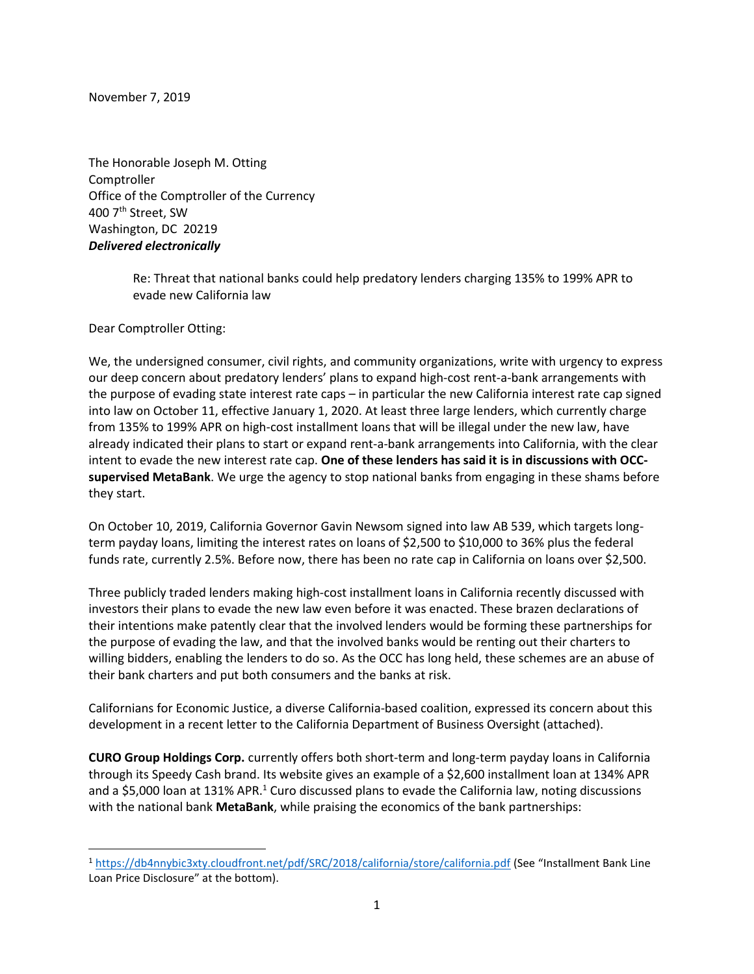November 7, 2019

The Honorable Joseph M. Otting Comptroller Office of the Comptroller of the Currency 400 7th Street, SW Washington, DC 20219 *Delivered electronically*

> Re: Threat that national banks could help predatory lenders charging 135% to 199% APR to evade new California law

Dear Comptroller Otting:

We, the undersigned consumer, civil rights, and community organizations, write with urgency to express our deep concern about predatory lenders' plans to expand high-cost rent-a-bank arrangements with the purpose of evading state interest rate caps – in particular the new California interest rate cap signed into law on October 11, effective January 1, 2020. At least three large lenders, which currently charge from 135% to 199% APR on high-cost installment loans that will be illegal under the new law, have already indicated their plans to start or expand rent-a-bank arrangements into California, with the clear intent to evade the new interest rate cap. **One of these lenders has said it is in discussions with OCCsupervised MetaBank**. We urge the agency to stop national banks from engaging in these shams before they start.

On October 10, 2019, California Governor Gavin Newsom signed into law AB 539, which targets longterm payday loans, limiting the interest rates on loans of \$2,500 to \$10,000 to 36% plus the federal funds rate, currently 2.5%. Before now, there has been no rate cap in California on loans over \$2,500.

Three publicly traded lenders making high-cost installment loans in California recently discussed with investors their plans to evade the new law even before it was enacted. These brazen declarations of their intentions make patently clear that the involved lenders would be forming these partnerships for the purpose of evading the law, and that the involved banks would be renting out their charters to willing bidders, enabling the lenders to do so. As the OCC has long held, these schemes are an abuse of their bank charters and put both consumers and the banks at risk.

Californians for Economic Justice, a diverse California-based coalition, expressed its concern about this development in a recent letter to the California Department of Business Oversight (attached).

**CURO Group Holdings Corp.** currently offers both short-term and long-term payday loans in California through its Speedy Cash brand. Its website gives an example of a \$2,600 installment loan at 134% APR and a \$5,000 loan at 131% APR.<sup>1</sup> Curo discussed plans to evade the California law, noting discussions with the national bank **MetaBank**, while praising the economics of the bank partnerships:

<sup>1</sup> <https://db4nnybic3xty.cloudfront.net/pdf/SRC/2018/california/store/california.pdf> (See "Installment Bank Line Loan Price Disclosure" at the bottom).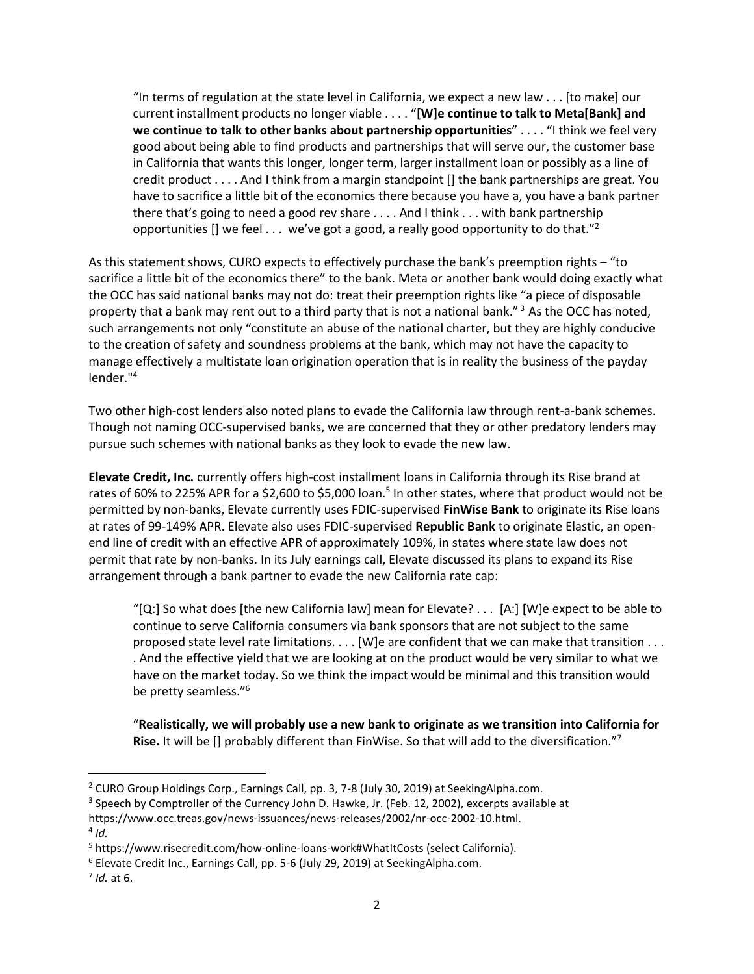"In terms of regulation at the state level in California, we expect a new law . . . [to make] our current installment products no longer viable . . . . "**[W]e continue to talk to Meta[Bank] and we continue to talk to other banks about partnership opportunities**" . . . . "I think we feel very good about being able to find products and partnerships that will serve our, the customer base in California that wants this longer, longer term, larger installment loan or possibly as a line of credit product . . . . And I think from a margin standpoint [] the bank partnerships are great. You have to sacrifice a little bit of the economics there because you have a, you have a bank partner there that's going to need a good rev share . . . . And I think . . . with bank partnership opportunities [] we feel  $\dots$  we've got a good, a really good opportunity to do that."<sup>2</sup>

As this statement shows, CURO expects to effectively purchase the bank's preemption rights – "to sacrifice a little bit of the economics there" to the bank. Meta or another bank would doing exactly what the OCC has said national banks may not do: treat their preemption rights like "a piece of disposable property that a bank may rent out to a third party that is not a national bank."<sup>3</sup> As the OCC has noted, such arrangements not only "constitute an abuse of the national charter, but they are highly conducive to the creation of safety and soundness problems at the bank, which may not have the capacity to manage effectively a multistate loan origination operation that is in reality the business of the payday lender."<sup>4</sup>

Two other high-cost lenders also noted plans to evade the California law through rent-a-bank schemes. Though not naming OCC-supervised banks, we are concerned that they or other predatory lenders may pursue such schemes with national banks as they look to evade the new law.

**Elevate Credit, Inc.** currently offers high-cost installment loans in California through its Rise brand at rates of 60% to 225% APR for a \$2,600 to \$5,000 loan.<sup>5</sup> In other states, where that product would not be permitted by non-banks, Elevate currently uses FDIC-supervised **FinWise Bank** to originate its Rise loans at rates of 99-149% APR. Elevate also uses FDIC-supervised **Republic Bank** to originate Elastic, an openend line of credit with an effective APR of approximately 109%, in states where state law does not permit that rate by non-banks. In its July earnings call, Elevate discussed its plans to expand its Rise arrangement through a bank partner to evade the new California rate cap:

"[Q:] So what does [the new California law] mean for Elevate? . . . [A:] [W]e expect to be able to continue to serve California consumers via bank sponsors that are not subject to the same proposed state level rate limitations. . . . [W]e are confident that we can make that transition . . . . And the effective yield that we are looking at on the product would be very similar to what we have on the market today. So we think the impact would be minimal and this transition would be pretty seamless."<sup>6</sup>

"**Realistically, we will probably use a new bank to originate as we transition into California for Rise.** It will be [] probably different than FinWise. So that will add to the diversification."<sup>7</sup>

4 *Id.*

<sup>2</sup> CURO Group Holdings Corp., Earnings Call, pp. 3, 7-8 (July 30, 2019) at SeekingAlpha.com.

<sup>&</sup>lt;sup>3</sup> Speech by Comptroller of the Currency John D. Hawke, Jr. (Feb. 12, 2002), excerpts available at https://www.occ.treas.gov/news-issuances/news-releases/2002/nr-occ-2002-10.html.

<sup>5</sup> https://www.risecredit.com/how-online-loans-work#WhatItCosts (select California).

<sup>6</sup> Elevate Credit Inc., Earnings Call, pp. 5-6 (July 29, 2019) at SeekingAlpha.com.

<sup>7</sup> *Id.* at 6.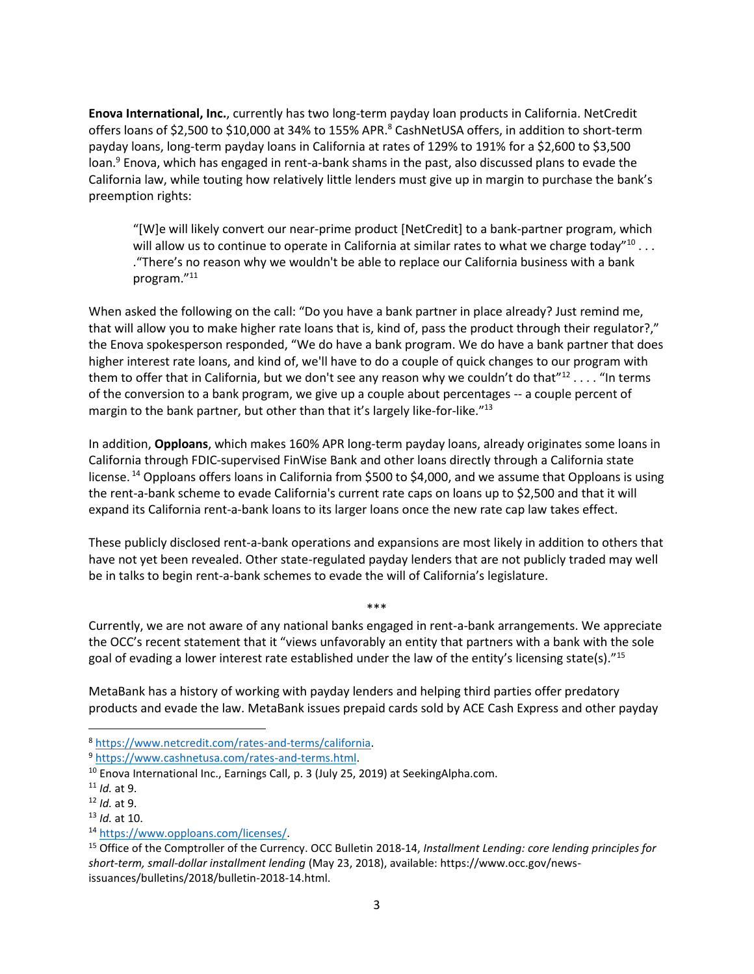**Enova International, Inc.**, currently has two long-term payday loan products in California. NetCredit offers loans of \$2,500 to \$10,000 at 34% to 155% APR.<sup>8</sup> CashNetUSA offers, in addition to short-term payday loans, long-term payday loans in California at rates of 129% to 191% for a \$2,600 to \$3,500 loan.<sup>9</sup> Enova, which has engaged in rent-a-bank shams in the past, also discussed plans to evade the California law, while touting how relatively little lenders must give up in margin to purchase the bank's preemption rights:

"[W]e will likely convert our near-prime product [NetCredit] to a bank-partner program, which will allow us to continue to operate in California at similar rates to what we charge today"<sup>10</sup>... ."There's no reason why we wouldn't be able to replace our California business with a bank program."<sup>11</sup>

When asked the following on the call: "Do you have a bank partner in place already? Just remind me, that will allow you to make higher rate loans that is, kind of, pass the product through their regulator?," the Enova spokesperson responded, "We do have a bank program. We do have a bank partner that does higher interest rate loans, and kind of, we'll have to do a couple of quick changes to our program with them to offer that in California, but we don't see any reason why we couldn't do that" $12 \ldots$  "In terms of the conversion to a bank program, we give up a couple about percentages -- a couple percent of margin to the bank partner, but other than that it's largely like-for-like."<sup>13</sup>

In addition, **Opploans**, which makes 160% APR long-term payday loans, already originates some loans in California through FDIC-supervised FinWise Bank and other loans directly through a California state license.<sup>14</sup> Opploans offers loans in California from \$500 to \$4,000, and we assume that Opploans is using the rent-a-bank scheme to evade California's current rate caps on loans up to \$2,500 and that it will expand its California rent-a-bank loans to its larger loans once the new rate cap law takes effect.

These publicly disclosed rent-a-bank operations and expansions are most likely in addition to others that have not yet been revealed. Other state-regulated payday lenders that are not publicly traded may well be in talks to begin rent-a-bank schemes to evade the will of California's legislature.

Currently, we are not aware of any national banks engaged in rent-a-bank arrangements. We appreciate the OCC's recent statement that it "views unfavorably an entity that partners with a bank with the sole goal of evading a lower interest rate established under the law of the entity's licensing state(s)."<sup>15</sup>

\*\*\*

MetaBank has a history of working with payday lenders and helping third parties offer predatory products and evade the law. MetaBank issues prepaid cards sold by ACE Cash Express and other payday

<sup>8</sup> [https://www.netcredit.com/rates-and-terms/california.](https://www.netcredit.com/rates-and-terms/california)

<sup>9</sup> [https://www.cashnetusa.com/rates-and-terms.html.](https://www.cashnetusa.com/rates-and-terms.html)

<sup>&</sup>lt;sup>10</sup> Enova International Inc., Earnings Call, p. 3 (July 25, 2019) at SeekingAlpha.com.

<sup>11</sup> *Id.* at 9.

<sup>12</sup> *Id.* at 9.

<sup>13</sup> *Id.* at 10.

<sup>14</sup> [https://www.opploans.com/licenses/.](https://www.opploans.com/licenses/)

<sup>15</sup> Office of the Comptroller of the Currency. OCC Bulletin 2018-14, *Installment Lending: core lending principles for short-term, small-dollar installment lending* (May 23, 2018), available: https://www.occ.gov/newsissuances/bulletins/2018/bulletin-2018-14.html.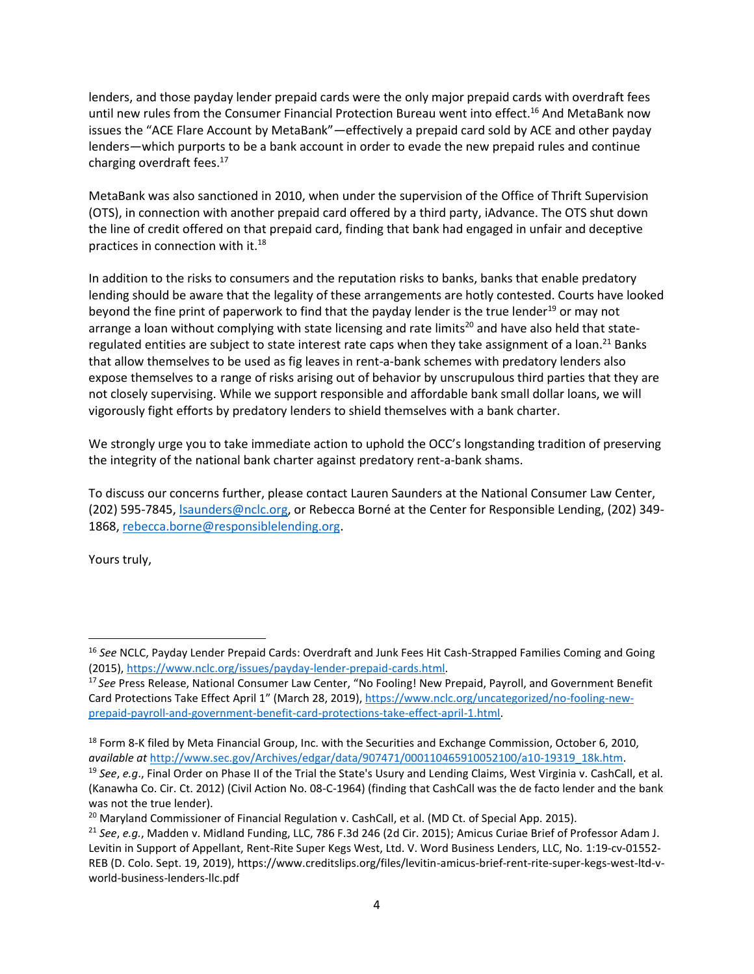lenders, and those payday lender prepaid cards were the only major prepaid cards with overdraft fees until new rules from the Consumer Financial Protection Bureau went into effect.<sup>16</sup> And MetaBank now issues the "ACE Flare Account by MetaBank"—effectively a prepaid card sold by ACE and other payday lenders—which purports to be a bank account in order to evade the new prepaid rules and continue charging overdraft fees. 17

MetaBank was also sanctioned in 2010, when under the supervision of the Office of Thrift Supervision (OTS), in connection with another prepaid card offered by a third party, iAdvance. The OTS shut down the line of credit offered on that prepaid card, finding that bank had engaged in unfair and deceptive practices in connection with it.<sup>18</sup>

In addition to the risks to consumers and the reputation risks to banks, banks that enable predatory lending should be aware that the legality of these arrangements are hotly contested. Courts have looked beyond the fine print of paperwork to find that the payday lender is the true lender<sup>19</sup> or may not arrange a loan without complying with state licensing and rate limits<sup>20</sup> and have also held that stateregulated entities are subject to state interest rate caps when they take assignment of a loan.<sup>21</sup> Banks that allow themselves to be used as fig leaves in rent-a-bank schemes with predatory lenders also expose themselves to a range of risks arising out of behavior by unscrupulous third parties that they are not closely supervising. While we support responsible and affordable bank small dollar loans, we will vigorously fight efforts by predatory lenders to shield themselves with a bank charter.

We strongly urge you to take immediate action to uphold the OCC's longstanding tradition of preserving the integrity of the national bank charter against predatory rent-a-bank shams.

To discuss our concerns further, please contact Lauren Saunders at the National Consumer Law Center, (202) 595-7845[, lsaunders@nclc.org,](mailto:lsaunders@nclc.org) or Rebecca Borné at the Center for Responsible Lending, (202) 349- 1868[, rebecca.borne@responsiblelending.org.](mailto:rebecca.borne@responsiblelending.org)

Yours truly,

<sup>16</sup> *See* NCLC, Payday Lender Prepaid Cards: Overdraft and Junk Fees Hit Cash-Strapped Families Coming and Going (2015), [https://www.nclc.org/issues/payday-lender-prepaid-cards.html.](https://www.nclc.org/issues/payday-lender-prepaid-cards.html)

<sup>17</sup> *See* Press Release, National Consumer Law Center, "No Fooling! New Prepaid, Payroll, and Government Benefit Card Protections Take Effect April 1" (March 28, 2019), [https://www.nclc.org/uncategorized/no-fooling-new](https://www.nclc.org/uncategorized/no-fooling-new-prepaid-payroll-and-government-benefit-card-protections-take-effect-april-1.html)[prepaid-payroll-and-government-benefit-card-protections-take-effect-april-1.html.](https://www.nclc.org/uncategorized/no-fooling-new-prepaid-payroll-and-government-benefit-card-protections-take-effect-april-1.html) 

<sup>&</sup>lt;sup>18</sup> Form 8-K filed by Meta Financial Group, Inc. with the Securities and Exchange Commission, October 6, 2010, *available at* [http://www.sec.gov/Archives/edgar/data/907471/000110465910052100/a10-19319\\_18k.htm.](http://www.sec.gov/Archives/edgar/data/907471/000110465910052100/a10-19319_18k.htm)

<sup>19</sup> *See*, *e.g*., Final Order on Phase II of the Trial the State's Usury and Lending Claims, West Virginia v. CashCall, et al. (Kanawha Co. Cir. Ct. 2012) (Civil Action No. 08-C-1964) (finding that CashCall was the de facto lender and the bank was not the true lender).

<sup>&</sup>lt;sup>20</sup> Maryland Commissioner of Financial Regulation v. CashCall, et al. (MD Ct. of Special App. 2015).

<sup>21</sup> *See*, *e.g.*, Madden v. Midland Funding, LLC, 786 F.3d 246 (2d Cir. 2015); Amicus Curiae Brief of Professor Adam J. Levitin in Support of Appellant, Rent-Rite Super Kegs West, Ltd. V. Word Business Lenders, LLC, No. 1:19-cv-01552- REB (D. Colo. Sept. 19, 2019), https://www.creditslips.org/files/levitin-amicus-brief-rent-rite-super-kegs-west-ltd-vworld-business-lenders-llc.pdf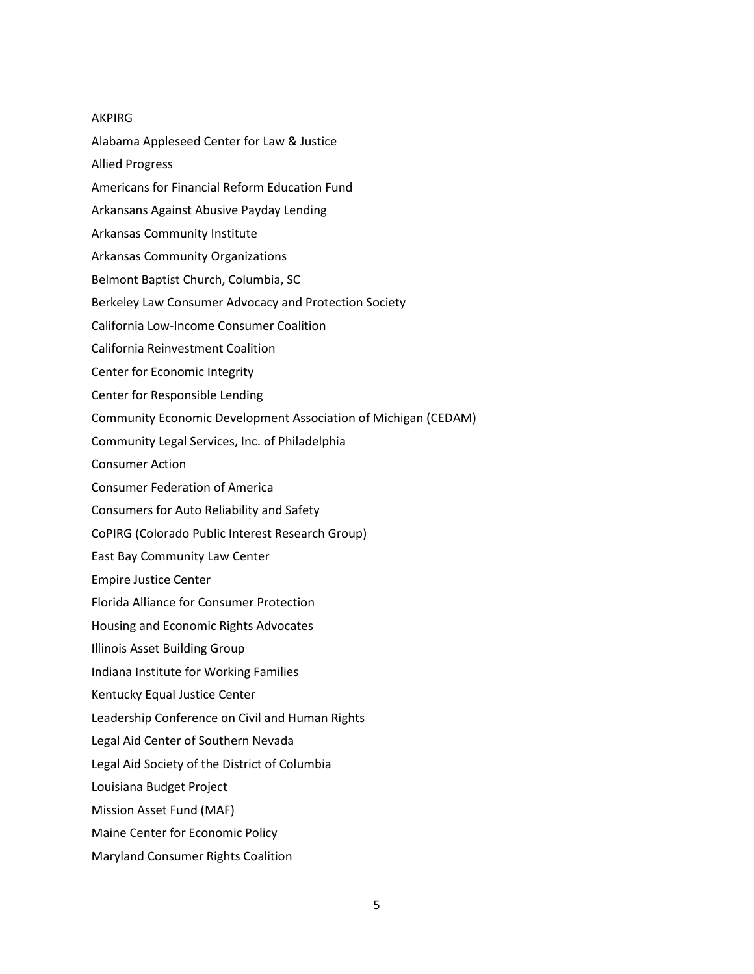## AKPIRG Alabama Appleseed Center for Law & Justice Allied Progress Americans for Financial Reform Education Fund Arkansans Against Abusive Payday Lending Arkansas Community Institute Arkansas Community Organizations Belmont Baptist Church, Columbia, SC Berkeley Law Consumer Advocacy and Protection Society California Low-Income Consumer Coalition California Reinvestment Coalition Center for Economic Integrity Center for Responsible Lending Community Economic Development Association of Michigan (CEDAM) Community Legal Services, Inc. of Philadelphia Consumer Action Consumer Federation of America Consumers for Auto Reliability and Safety CoPIRG (Colorado Public Interest Research Group) East Bay Community Law Center Empire Justice Center Florida Alliance for Consumer Protection Housing and Economic Rights Advocates Illinois Asset Building Group Indiana Institute for Working Families Kentucky Equal Justice Center Leadership Conference on Civil and Human Rights Legal Aid Center of Southern Nevada Legal Aid Society of the District of Columbia Louisiana Budget Project

Mission Asset Fund (MAF)

- Maine Center for Economic Policy
- Maryland Consumer Rights Coalition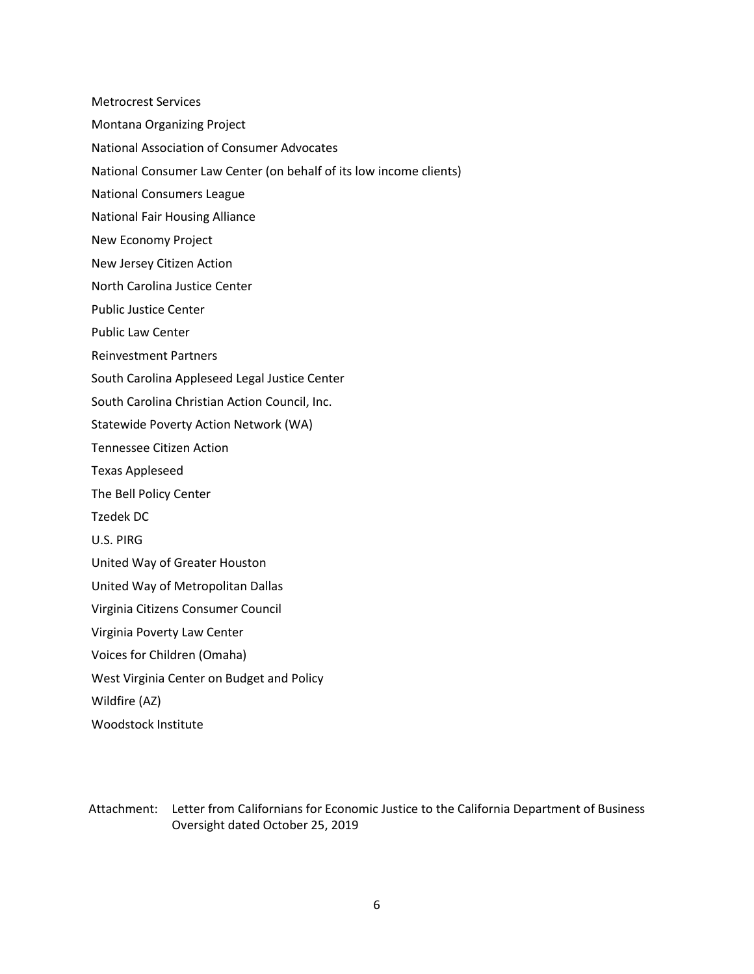Metrocrest Services

- Montana Organizing Project
- National Association of Consumer Advocates
- National Consumer Law Center (on behalf of its low income clients)
- National Consumers League
- National Fair Housing Alliance
- New Economy Project
- New Jersey Citizen Action
- North Carolina Justice Center
- Public Justice Center
- Public Law Center
- Reinvestment Partners
- South Carolina Appleseed Legal Justice Center
- South Carolina Christian Action Council, Inc.
- Statewide Poverty Action Network (WA)
- Tennessee Citizen Action
- Texas Appleseed
- The Bell Policy Center
- Tzedek DC
- U.S. PIRG
- United Way of Greater Houston
- United Way of Metropolitan Dallas
- Virginia Citizens Consumer Council
- Virginia Poverty Law Center
- Voices for Children (Omaha)
- West Virginia Center on Budget and Policy
- Wildfire (AZ)
- Woodstock Institute
- Attachment: Letter from Californians for Economic Justice to the California Department of Business Oversight dated October 25, 2019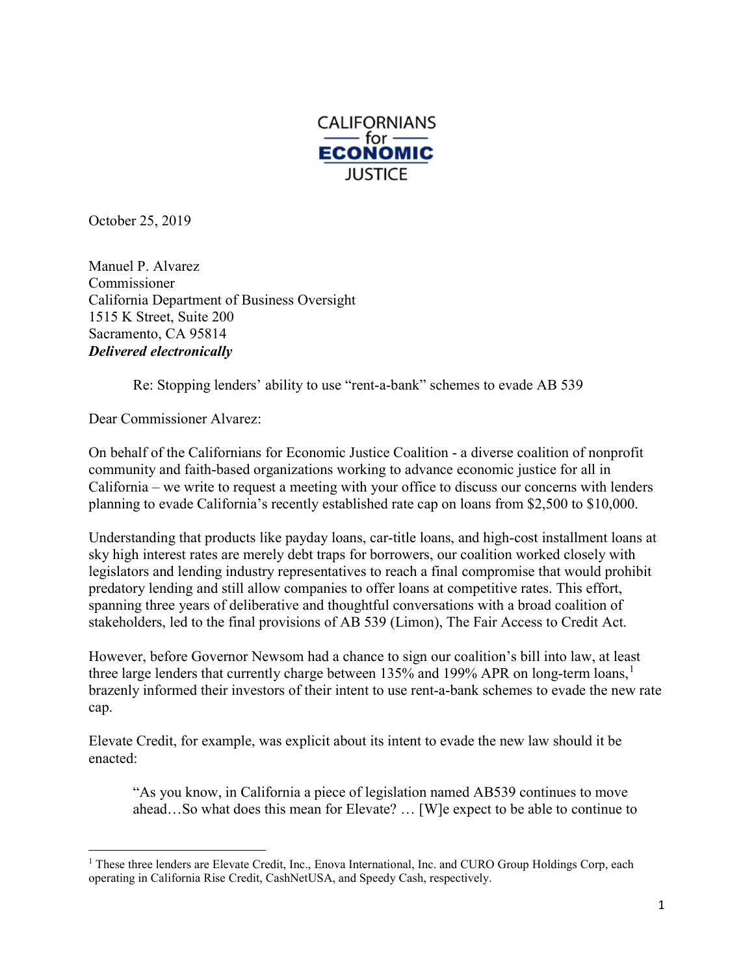

October 25, 2019

Manuel P. Alvarez Commissioner California Department of Business Oversight 1515 K Street, Suite 200 Sacramento, CA 95814 Delivered electronically

Re: Stopping lenders' ability to use "rent-a-bank" schemes to evade AB 539

Dear Commissioner Alvarez:

On behalf of the Californians for Economic Justice Coalition - a diverse coalition of nonprofit community and faith-based organizations working to advance economic justice for all in California – we write to request a meeting with your office to discuss our concerns with lenders planning to evade California's recently established rate cap on loans from \$2,500 to \$10,000.

Understanding that products like payday loans, car-title loans, and high-cost installment loans at sky high interest rates are merely debt traps for borrowers, our coalition worked closely with legislators and lending industry representatives to reach a final compromise that would prohibit predatory lending and still allow companies to offer loans at competitive rates. This effort, spanning three years of deliberative and thoughtful conversations with a broad coalition of stakeholders, led to the final provisions of AB 539 (Limon), The Fair Access to Credit Act.

However, before Governor Newsom had a chance to sign our coalition's bill into law, at least three large lenders that currently charge between 135% and 199% APR on long-term loans,<sup>1</sup> brazenly informed their investors of their intent to use rent-a-bank schemes to evade the new rate cap.

Elevate Credit, for example, was explicit about its intent to evade the new law should it be enacted:

"As you know, in California a piece of legislation named AB539 continues to move ahead…So what does this mean for Elevate? … [W]e expect to be able to continue to

<sup>&</sup>lt;sup>1</sup> These three lenders are Elevate Credit, Inc., Enova International, Inc. and CURO Group Holdings Corp, each operating in California Rise Credit, CashNetUSA, and Speedy Cash, respectively.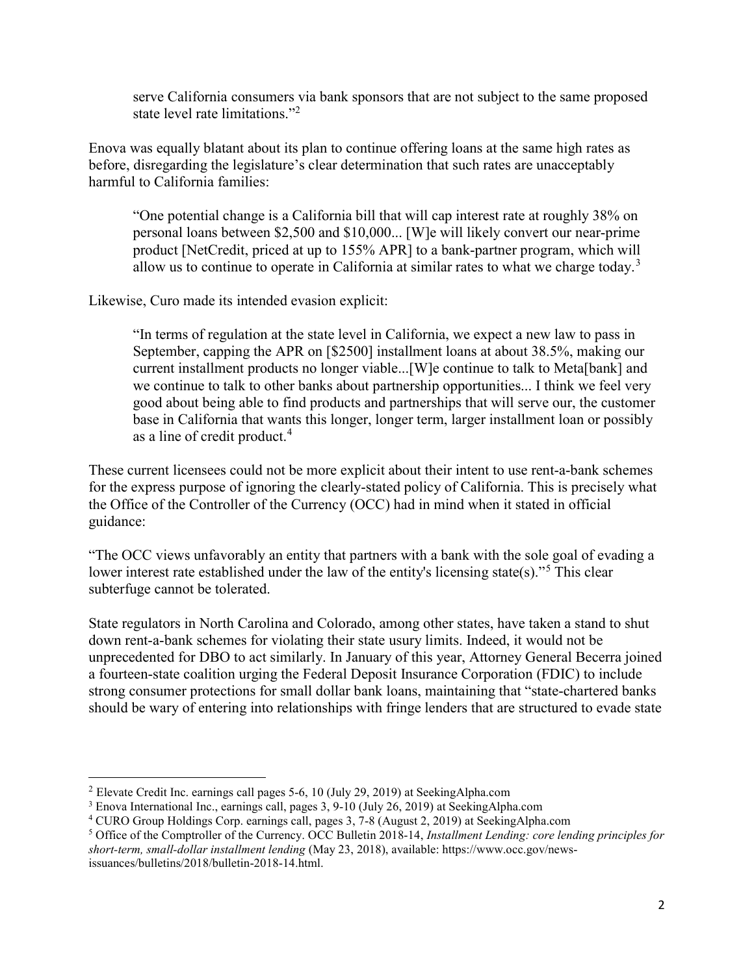serve California consumers via bank sponsors that are not subject to the same proposed state level rate limitations."<sup>2</sup>

Enova was equally blatant about its plan to continue offering loans at the same high rates as before, disregarding the legislature's clear determination that such rates are unacceptably harmful to California families:

"One potential change is a California bill that will cap interest rate at roughly 38% on personal loans between \$2,500 and \$10,000... [W]e will likely convert our near-prime product [NetCredit, priced at up to 155% APR] to a bank-partner program, which will allow us to continue to operate in California at similar rates to what we charge today.<sup>3</sup>

Likewise, Curo made its intended evasion explicit:

"In terms of regulation at the state level in California, we expect a new law to pass in September, capping the APR on [\$2500] installment loans at about 38.5%, making our current installment products no longer viable...[W]e continue to talk to Meta[bank] and we continue to talk to other banks about partnership opportunities... I think we feel very good about being able to find products and partnerships that will serve our, the customer base in California that wants this longer, longer term, larger installment loan or possibly as a line of credit product.<sup>4</sup>

These current licensees could not be more explicit about their intent to use rent-a-bank schemes for the express purpose of ignoring the clearly-stated policy of California. This is precisely what the Office of the Controller of the Currency (OCC) had in mind when it stated in official guidance:

"The OCC views unfavorably an entity that partners with a bank with the sole goal of evading a lower interest rate established under the law of the entity's licensing state(s)."<sup>5</sup> This clear subterfuge cannot be tolerated.

State regulators in North Carolina and Colorado, among other states, have taken a stand to shut down rent-a-bank schemes for violating their state usury limits. Indeed, it would not be unprecedented for DBO to act similarly. In January of this year, Attorney General Becerra joined a fourteen-state coalition urging the Federal Deposit Insurance Corporation (FDIC) to include strong consumer protections for small dollar bank loans, maintaining that "state-chartered banks should be wary of entering into relationships with fringe lenders that are structured to evade state

<sup>2</sup> Elevate Credit Inc. earnings call pages 5-6, 10 (July 29, 2019) at SeekingAlpha.com

<sup>&</sup>lt;sup>3</sup> Enova International Inc., earnings call, pages 3, 9-10 (July 26, 2019) at SeekingAlpha.com

<sup>4</sup> CURO Group Holdings Corp. earnings call, pages 3, 7-8 (August 2, 2019) at SeekingAlpha.com

<sup>&</sup>lt;sup>5</sup> Office of the Comptroller of the Currency. OCC Bulletin 2018-14, *Installment Lending: core lending principles for* short-term, small-dollar installment lending (May 23, 2018), available: https://www.occ.gov/newsissuances/bulletins/2018/bulletin-2018-14.html.